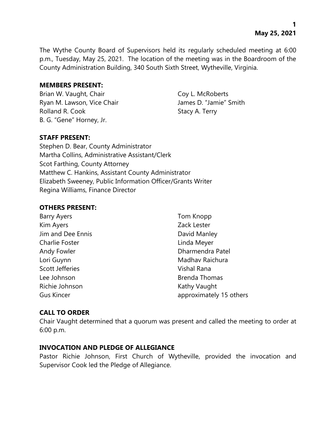The Wythe County Board of Supervisors held its regularly scheduled meeting at 6:00 p.m., Tuesday, May 25, 2021. The location of the meeting was in the Boardroom of the County Administration Building, 340 South Sixth Street, Wytheville, Virginia.

#### **MEMBERS PRESENT:**

Brian W. Vaught, Chair Coy L. McRoberts Ryan M. Lawson, Vice Chair **James D. "Jamie"** Smith Rolland R. Cook Stacy A. Terry B. G. "Gene" Horney, Jr.

### **STAFF PRESENT:**

Stephen D. Bear, County Administrator Martha Collins, Administrative Assistant/Clerk Scot Farthing, County Attorney Matthew C. Hankins, Assistant County Administrator Elizabeth Sweeney, Public Information Officer/Grants Writer Regina Williams, Finance Director

#### **OTHERS PRESENT:**

| <b>Barry Ayers</b>     | Tom Knopp               |
|------------------------|-------------------------|
| Kim Ayers              | Zack Lester             |
| Jim and Dee Ennis      | David Manley            |
| <b>Charlie Foster</b>  | Linda Meyer             |
| Andy Fowler            | Dharmendra Patel        |
| Lori Guynn             | Madhav Raichura         |
| <b>Scott Jefferies</b> | Vishal Rana             |
| Lee Johnson            | <b>Brenda Thomas</b>    |
| Richie Johnson         | Kathy Vaught            |
| <b>Gus Kincer</b>      | approximately 15 others |

### **CALL TO ORDER**

Chair Vaught determined that a quorum was present and called the meeting to order at 6:00 p.m.

#### **INVOCATION AND PLEDGE OF ALLEGIANCE**

Pastor Richie Johnson, First Church of Wytheville, provided the invocation and Supervisor Cook led the Pledge of Allegiance.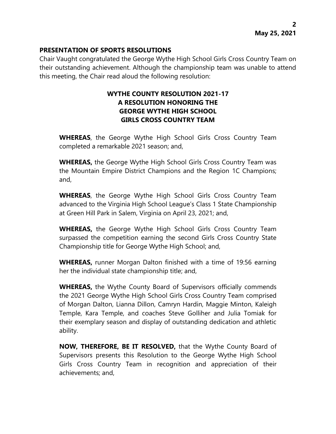### **PRESENTATION OF SPORTS RESOLUTIONS**

Chair Vaught congratulated the George Wythe High School Girls Cross Country Team on their outstanding achievement. Although the championship team was unable to attend this meeting, the Chair read aloud the following resolution:

## **WYTHE COUNTY RESOLUTION 2021-17 A RESOLUTION HONORING THE GEORGE WYTHE HIGH SCHOOL GIRLS CROSS COUNTRY TEAM**

**WHEREAS**, the George Wythe High School Girls Cross Country Team completed a remarkable 2021 season; and,

**WHEREAS,** the George Wythe High School Girls Cross Country Team was the Mountain Empire District Champions and the Region 1C Champions; and,

**WHEREAS**, the George Wythe High School Girls Cross Country Team advanced to the Virginia High School League's Class 1 State Championship at Green Hill Park in Salem, Virginia on April 23, 2021; and,

**WHEREAS,** the George Wythe High School Girls Cross Country Team surpassed the competition earning the second Girls Cross Country State Championship title for George Wythe High School; and,

**WHEREAS,** runner Morgan Dalton finished with a time of 19:56 earning her the individual state championship title; and,

**WHEREAS,** the Wythe County Board of Supervisors officially commends the 2021 George Wythe High School Girls Cross Country Team comprised of Morgan Dalton, Lianna Dillon, Camryn Hardin, Maggie Minton, Kaleigh Temple, Kara Temple, and coaches Steve Golliher and Julia Tomiak for their exemplary season and display of outstanding dedication and athletic ability.

**NOW, THEREFORE, BE IT RESOLVED,** that the Wythe County Board of Supervisors presents this Resolution to the George Wythe High School Girls Cross Country Team in recognition and appreciation of their achievements; and,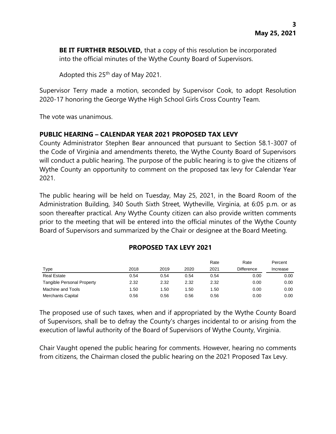**BE IT FURTHER RESOLVED,** that a copy of this resolution be incorporated into the official minutes of the Wythe County Board of Supervisors.

Adopted this 25<sup>th</sup> day of May 2021.

Supervisor Terry made a motion, seconded by Supervisor Cook, to adopt Resolution 2020-17 honoring the George Wythe High School Girls Cross Country Team.

The vote was unanimous.

### **PUBLIC HEARING – CALENDAR YEAR 2021 PROPOSED TAX LEVY**

County Administrator Stephen Bear announced that pursuant to Section 58.1-3007 of the Code of Virginia and amendments thereto, the Wythe County Board of Supervisors will conduct a public hearing. The purpose of the public hearing is to give the citizens of Wythe County an opportunity to comment on the proposed tax levy for Calendar Year 2021.

The public hearing will be held on Tuesday, May 25, 2021, in the Board Room of the Administration Building, 340 South Sixth Street, Wytheville, Virginia, at 6:05 p.m. or as soon thereafter practical. Any Wythe County citizen can also provide written comments prior to the meeting that will be entered into the official minutes of the Wythe County Board of Supervisors and summarized by the Chair or designee at the Board Meeting.

#### **PROPOSED TAX LEVY 2021**

|                            |      |      |      | Rate | Rate              | Percent  |
|----------------------------|------|------|------|------|-------------------|----------|
| Type                       | 2018 | 2019 | 2020 | 2021 | <b>Difference</b> | Increase |
| <b>Real Estate</b>         | 0.54 | 0.54 | 0.54 | 0.54 | 0.00              | 0.00     |
| Tangible Personal Property | 2.32 | 2.32 | 2.32 | 2.32 | 0.00              | 0.00     |
| Machine and Tools          | 1.50 | 1.50 | 1.50 | ∣.50 | 0.00              | 0.00     |
| <b>Merchants Capital</b>   | 0.56 | 0.56 | 0.56 | 0.56 | 0.00              | 0.00     |

The proposed use of such taxes, when and if appropriated by the Wythe County Board of Supervisors, shall be to defray the County's charges incidental to or arising from the execution of lawful authority of the Board of Supervisors of Wythe County, Virginia.

Chair Vaught opened the public hearing for comments. However, hearing no comments from citizens, the Chairman closed the public hearing on the 2021 Proposed Tax Levy.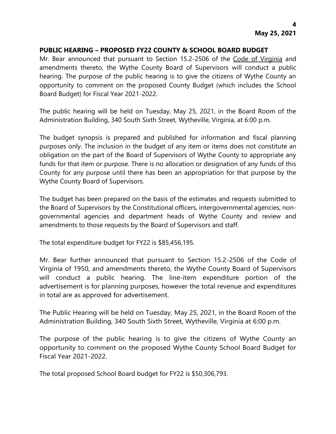#### **PUBLIC HEARING – PROPOSED FY22 COUNTY & SCHOOL BOARD BUDGET**

Mr. Bear announced that pursuant to Section 15.2-2506 of the Code of Virginia and amendments thereto, the Wythe County Board of Supervisors will conduct a public hearing. The purpose of the public hearing is to give the citizens of Wythe County an opportunity to comment on the proposed County Budget (which includes the School Board Budget) for Fiscal Year 2021-2022.

The public hearing will be held on Tuesday, May 25, 2021, in the Board Room of the Administration Building, 340 South Sixth Street, Wytheville, Virginia, at 6:00 p.m.

The budget synopsis is prepared and published for information and fiscal planning purposes only. The inclusion in the budget of any item or items does not constitute an obligation on the part of the Board of Supervisors of Wythe County to appropriate any funds for that item or purpose. There is no allocation or designation of any funds of this County for any purpose until there has been an appropriation for that purpose by the Wythe County Board of Supervisors.

The budget has been prepared on the basis of the estimates and requests submitted to the Board of Supervisors by the Constitutional officers, intergovernmental agencies, nongovernmental agencies and department heads of Wythe County and review and amendments to those requests by the Board of Supervisors and staff.

The total expenditure budget for FY22 is \$85,456,195.

Mr. Bear further announced that pursuant to Section 15.2-2506 of the Code of Virginia of 1950, and amendments thereto, the Wythe County Board of Supervisors will conduct a public hearing. The line-item expenditure portion of the advertisement is for planning purposes, however the total revenue and expenditures in total are as approved for advertisement.

The Public Hearing will be held on Tuesday, May 25, 2021, in the Board Room of the Administration Building, 340 South Sixth Street, Wytheville, Virginia at 6:00 p.m.

The purpose of the public hearing is to give the citizens of Wythe County an opportunity to comment on the proposed Wythe County School Board Budget for Fiscal Year 2021-2022.

The total proposed School Board budget for FY22 is \$50,306,793.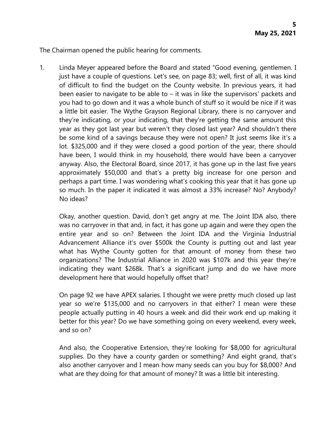The Chairman opened the public hearing for comments.

1. Linda Meyer appeared before the Board and stated "Good evening, gentlemen. I just have a couple of questions. Let's see, on page 83; well, first of all, it was kind of difficult to find the budget on the County website. In previous years, it had been easier to navigate to be able to – it was in like the supervisors' packets and you had to go down and it was a whole bunch of stuff so it would be nice if it was a little bit easier. The Wythe Grayson Regional Library, there is no carryover and they're indicating, or your indicating, that they're getting the same amount this year as they got last year but weren't they closed last year? And shouldn't there be some kind of a savings because they were not open? It just seems like it's a lot. \$325,000 and if they were closed a good portion of the year, there should have been, I would think in my household, there would have been a carryover anyway. Also, the Electoral Board, since 2017, it has gone up in the last five years approximately \$50,000 and that's a pretty big increase for one person and perhaps a part time. I was wondering what's cooking this year that it has gone up so much. In the paper it indicated it was almost a 33% increase? No? Anybody? No ideas?

Okay, another question. David, don't get angry at me. The Joint IDA also, there was no carryover in that and, in fact, it has gone up again and were they open the entire year and so on? Between the Joint IDA and the Virginia Industrial Advancement Alliance it's over \$500k the County is putting out and last year what has Wythe County gotten for that amount of money from these two organizations? The Industrial Alliance in 2020 was \$107k and this year they're indicating they want \$268k. That's a significant jump and do we have more development here that would hopefully offset that?

On page 92 we have APEX salaries. I thought we were pretty much closed up last year so we're \$135,000 and no carryovers in that either? I mean were these people actually putting in 40 hours a week and did their work end up making it better for this year? Do we have something going on every weekend, every week, and so on?

And also, the Cooperative Extension, they're looking for \$8,000 for agricultural supplies. Do they have a county garden or something? And eight grand, that's also another carryover and I mean how many seeds can you buy for \$8,000? And what are they doing for that amount of money? It was a little bit interesting.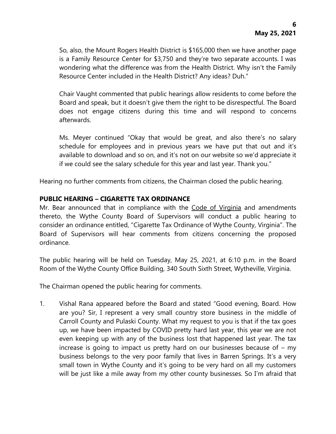So, also, the Mount Rogers Health District is \$165,000 then we have another page is a Family Resource Center for \$3,750 and they're two separate accounts. I was wondering what the difference was from the Health District. Why isn't the Family Resource Center included in the Health District? Any ideas? Duh."

Chair Vaught commented that public hearings allow residents to come before the Board and speak, but it doesn't give them the right to be disrespectful. The Board does not engage citizens during this time and will respond to concerns afterwards.

Ms. Meyer continued "Okay that would be great, and also there's no salary schedule for employees and in previous years we have put that out and it's available to download and so on, and it's not on our website so we'd appreciate it if we could see the salary schedule for this year and last year. Thank you."

Hearing no further comments from citizens, the Chairman closed the public hearing.

### **PUBLIC HEARING – CIGARETTE TAX ORDINANCE**

Mr. Bear announced that in compliance with the Code of Virginia and amendments thereto, the Wythe County Board of Supervisors will conduct a public hearing to consider an ordinance entitled, "Cigarette Tax Ordinance of Wythe County, Virginia". The Board of Supervisors will hear comments from citizens concerning the proposed ordinance.

The public hearing will be held on Tuesday, May 25, 2021, at 6:10 p.m. in the Board Room of the Wythe County Office Building, 340 South Sixth Street, Wytheville, Virginia.

The Chairman opened the public hearing for comments.

1. Vishal Rana appeared before the Board and stated "Good evening, Board. How are you? Sir, I represent a very small country store business in the middle of Carroll County and Pulaski County. What my request to you is that if the tax goes up, we have been impacted by COVID pretty hard last year, this year we are not even keeping up with any of the business lost that happened last year. The tax increase is going to impact us pretty hard on our businesses because of – my business belongs to the very poor family that lives in Barren Springs. It's a very small town in Wythe County and it's going to be very hard on all my customers will be just like a mile away from my other county businesses. So I'm afraid that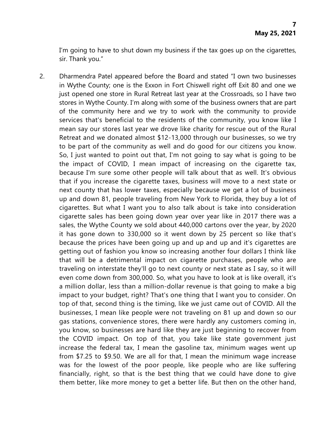I'm going to have to shut down my business if the tax goes up on the cigarettes, sir. Thank you."

2. Dharmendra Patel appeared before the Board and stated "I own two businesses in Wythe County; one is the Exxon in Fort Chiswell right off Exit 80 and one we just opened one store in Rural Retreat last year at the Crossroads, so I have two stores in Wythe County. I'm along with some of the business owners that are part of the community here and we try to work with the community to provide services that's beneficial to the residents of the community, you know like I mean say our stores last year we drove like charity for rescue out of the Rural Retreat and we donated almost \$12-13,000 through our businesses, so we try to be part of the community as well and do good for our citizens you know. So, I just wanted to point out that, I'm not going to say what is going to be the impact of COVID, I mean impact of increasing on the cigarette tax, because I'm sure some other people will talk about that as well. It's obvious that if you increase the cigarette taxes, business will move to a next state or next county that has lower taxes, especially because we get a lot of business up and down 81, people traveling from New York to Florida, they buy a lot of cigarettes. But what I want you to also talk about is take into consideration cigarette sales has been going down year over year like in 2017 there was a sales, the Wythe County we sold about 440,000 cartons over the year, by 2020 it has gone down to 330,000 so it went down by 25 percent so like that's because the prices have been going up and up and up and it's cigarettes are getting out of fashion you know so increasing another four dollars I think like that will be a detrimental impact on cigarette purchases, people who are traveling on interstate they'll go to next county or next state as I say, so it will even come down from 300,000. So, what you have to look at is like overall, it's a million dollar, less than a million-dollar revenue is that going to make a big impact to your budget, right? That's one thing that I want you to consider. On top of that, second thing is the timing, like we just came out of COVID. All the businesses, I mean like people were not traveling on 81 up and down so our gas stations, convenience stores, there were hardly any customers coming in, you know, so businesses are hard like they are just beginning to recover from the COVID impact. On top of that, you take like state government just increase the federal tax, I mean the gasoline tax, minimum wages went up from \$7.25 to \$9.50. We are all for that, I mean the minimum wage increase was for the lowest of the poor people, like people who are like suffering financially, right, so that is the best thing that we could have done to give them better, like more money to get a better life. But then on the other hand,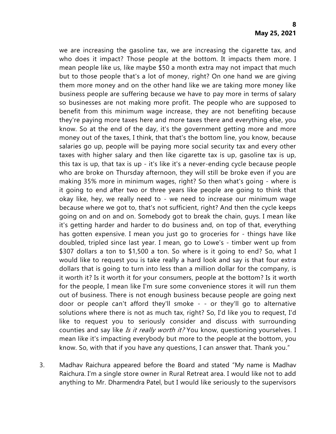we are increasing the gasoline tax, we are increasing the cigarette tax, and who does it impact? Those people at the bottom. It impacts them more. I mean people like us, like maybe \$50 a month extra may not impact that much but to those people that's a lot of money, right? On one hand we are giving them more money and on the other hand like we are taking more money like business people are suffering because we have to pay more in terms of salary so businesses are not making more profit. The people who are supposed to benefit from this minimum wage increase, they are not benefiting because they're paying more taxes here and more taxes there and everything else, you know. So at the end of the day, it's the government getting more and more money out of the taxes, I think, that that's the bottom line, you know, because salaries go up, people will be paying more social security tax and every other taxes with higher salary and then like cigarette tax is up, gasoline tax is up, this tax is up, that tax is up - it's like it's a never-ending cycle because people who are broke on Thursday afternoon, they will still be broke even if you are making 35% more in minimum wages, right? So then what's going - where is it going to end after two or three years like people are going to think that okay like, hey, we really need to - we need to increase our minimum wage because where we got to, that's not sufficient, right? And then the cycle keeps going on and on and on. Somebody got to break the chain, guys. I mean like it's getting harder and harder to do business and, on top of that, everything has gotten expensive. I mean you just go to groceries for - things have like doubled, tripled since last year. I mean, go to Lowe's - timber went up from \$307 dollars a ton to \$1,500 a ton. So where is it going to end? So, what I would like to request you is take really a hard look and say is that four extra dollars that is going to turn into less than a million dollar for the company, is it worth it? Is it worth it for your consumers, people at the bottom? Is it worth for the people, I mean like I'm sure some convenience stores it will run them out of business. There is not enough business because people are going next door or people can't afford they'll smoke - - or they'll go to alternative solutions where there is not as much tax, right? So, I'd like you to request, I'd like to request you to seriously consider and discuss with surrounding counties and say like Is it really worth it? You know, questioning yourselves. I mean like it's impacting everybody but more to the people at the bottom, you know. So, with that if you have any questions, I can answer that. Thank you."

3. Madhav Raichura appeared before the Board and stated "My name is Madhav Raichura. I'm a single store owner in Rural Retreat area. I would like not to add anything to Mr. Dharmendra Patel, but I would like seriously to the supervisors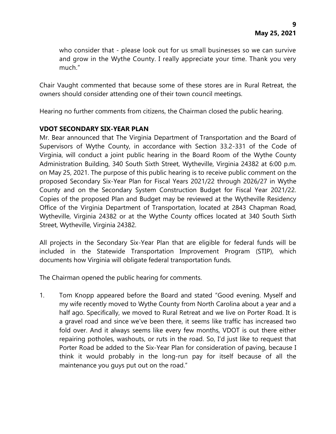who consider that - please look out for us small businesses so we can survive and grow in the Wythe County. I really appreciate your time. Thank you very much."

Chair Vaught commented that because some of these stores are in Rural Retreat, the owners should consider attending one of their town council meetings.

Hearing no further comments from citizens, the Chairman closed the public hearing.

### **VDOT SECONDARY SIX-YEAR PLAN**

Mr. Bear announced that The Virginia Department of Transportation and the Board of Supervisors of Wythe County, in accordance with Section 33.2-331 of the Code of Virginia, will conduct a joint public hearing in the Board Room of the Wythe County Administration Building, 340 South Sixth Street, Wytheville, Virginia 24382 at 6:00 p.m. on May 25, 2021. The purpose of this public hearing is to receive public comment on the proposed Secondary Six-Year Plan for Fiscal Years 2021/22 through 2026/27 in Wythe County and on the Secondary System Construction Budget for Fiscal Year 2021/22. Copies of the proposed Plan and Budget may be reviewed at the Wytheville Residency Office of the Virginia Department of Transportation, located at 2843 Chapman Road, Wytheville, Virginia 24382 or at the Wythe County offices located at 340 South Sixth Street, Wytheville, Virginia 24382.

All projects in the Secondary Six-Year Plan that are eligible for federal funds will be included in the Statewide Transportation Improvement Program (STIP), which documents how Virginia will obligate federal transportation funds.

The Chairman opened the public hearing for comments.

1. Tom Knopp appeared before the Board and stated "Good evening. Myself and my wife recently moved to Wythe County from North Carolina about a year and a half ago. Specifically, we moved to Rural Retreat and we live on Porter Road. It is a gravel road and since we've been there, it seems like traffic has increased two fold over. And it always seems like every few months, VDOT is out there either repairing potholes, washouts, or ruts in the road. So, I'd just like to request that Porter Road be added to the Six-Year Plan for consideration of paving, because I think it would probably in the long-run pay for itself because of all the maintenance you guys put out on the road."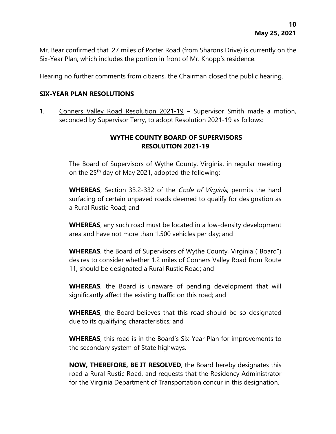Mr. Bear confirmed that .27 miles of Porter Road (from Sharons Drive) is currently on the Six-Year Plan, which includes the portion in front of Mr. Knopp's residence.

Hearing no further comments from citizens, the Chairman closed the public hearing.

#### **SIX-YEAR PLAN RESOLUTIONS**

1. Conners Valley Road Resolution 2021-19 – Supervisor Smith made a motion, seconded by Supervisor Terry, to adopt Resolution 2021-19 as follows:

# **WYTHE COUNTY BOARD OF SUPERVISORS RESOLUTION 2021-19**

The Board of Supervisors of Wythe County, Virginia, in regular meeting on the 25<sup>th</sup> day of May 2021, adopted the following:

**WHEREAS**, Section 33.2-332 of the Code of Virginia, permits the hard surfacing of certain unpaved roads deemed to qualify for designation as a Rural Rustic Road; and

**WHEREAS**, any such road must be located in a low-density development area and have not more than 1,500 vehicles per day; and

**WHEREAS**, the Board of Supervisors of Wythe County, Virginia ("Board") desires to consider whether 1.2 miles of Conners Valley Road from Route 11, should be designated a Rural Rustic Road; and

**WHEREAS**, the Board is unaware of pending development that will significantly affect the existing traffic on this road; and

**WHEREAS**, the Board believes that this road should be so designated due to its qualifying characteristics; and

**WHEREAS**, this road is in the Board's Six-Year Plan for improvements to the secondary system of State highways.

**NOW, THEREFORE, BE IT RESOLVED**, the Board hereby designates this road a Rural Rustic Road, and requests that the Residency Administrator for the Virginia Department of Transportation concur in this designation.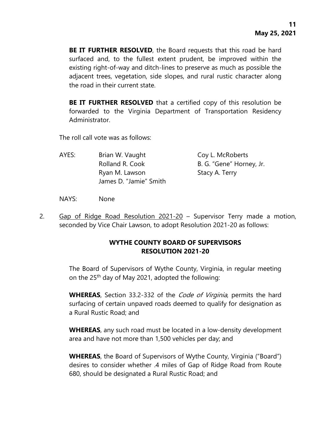**BE IT FURTHER RESOLVED**, the Board requests that this road be hard surfaced and, to the fullest extent prudent, be improved within the existing right-of-way and ditch-lines to preserve as much as possible the adjacent trees, vegetation, side slopes, and rural rustic character along the road in their current state.

**BE IT FURTHER RESOLVED** that a certified copy of this resolution be forwarded to the Virginia Department of Transportation Residency Administrator.

The roll call vote was as follows:

| AYES: | Brian W. Vaught        | Coy L. McRoberts         |
|-------|------------------------|--------------------------|
|       | Rolland R. Cook        | B. G. "Gene" Horney, Jr. |
|       | Ryan M. Lawson         | Stacy A. Terry           |
|       | James D. "Jamie" Smith |                          |

NAYS: None

2. Gap of Ridge Road Resolution 2021-20 – Supervisor Terry made a motion, seconded by Vice Chair Lawson, to adopt Resolution 2021-20 as follows:

### **WYTHE COUNTY BOARD OF SUPERVISORS RESOLUTION 2021-20**

The Board of Supervisors of Wythe County, Virginia, in regular meeting on the 25<sup>th</sup> day of May 2021, adopted the following:

**WHEREAS**, Section 33.2-332 of the Code of Virginia, permits the hard surfacing of certain unpaved roads deemed to qualify for designation as a Rural Rustic Road; and

**WHEREAS**, any such road must be located in a low-density development area and have not more than 1,500 vehicles per day; and

**WHEREAS**, the Board of Supervisors of Wythe County, Virginia ("Board") desires to consider whether .4 miles of Gap of Ridge Road from Route 680, should be designated a Rural Rustic Road; and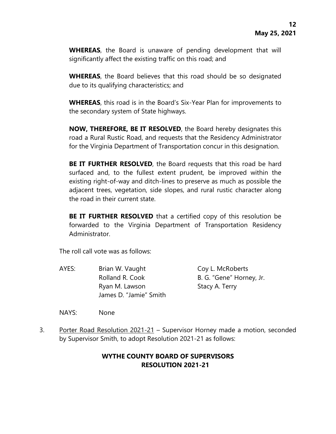**WHEREAS**, the Board is unaware of pending development that will significantly affect the existing traffic on this road; and

**WHEREAS**, the Board believes that this road should be so designated due to its qualifying characteristics; and

**WHEREAS**, this road is in the Board's Six-Year Plan for improvements to the secondary system of State highways.

**NOW, THEREFORE, BE IT RESOLVED**, the Board hereby designates this road a Rural Rustic Road, and requests that the Residency Administrator for the Virginia Department of Transportation concur in this designation.

**BE IT FURTHER RESOLVED**, the Board requests that this road be hard surfaced and, to the fullest extent prudent, be improved within the existing right-of-way and ditch-lines to preserve as much as possible the adjacent trees, vegetation, side slopes, and rural rustic character along the road in their current state.

**BE IT FURTHER RESOLVED** that a certified copy of this resolution be forwarded to the Virginia Department of Transportation Residency Administrator.

The roll call vote was as follows:

AYES: Brian W. Vaught Coy L. McRoberts Rolland R. Cook B. G. "Gene" Horney, Jr. Ryan M. Lawson Stacy A. Terry James D. "Jamie" Smith

NAYS: None

3. Porter Road Resolution 2021-21 – Supervisor Horney made a motion, seconded by Supervisor Smith, to adopt Resolution 2021-21 as follows:

# **WYTHE COUNTY BOARD OF SUPERVISORS RESOLUTION 2021-21**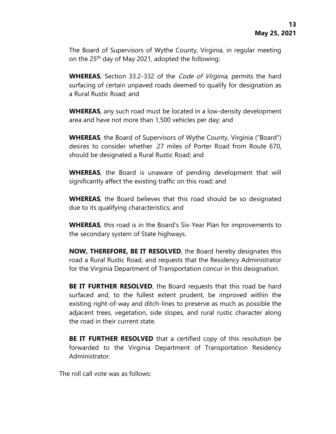The Board of Supervisors of Wythe County, Virginia, in regular meeting on the 25<sup>th</sup> day of May 2021, adopted the following:

**WHEREAS**, Section 33.2-332 of the Code of Virginia, permits the hard surfacing of certain unpaved roads deemed to qualify for designation as a Rural Rustic Road; and

**WHEREAS**, any such road must be located in a low-density development area and have not more than 1,500 vehicles per day; and

**WHEREAS**, the Board of Supervisors of Wythe County, Virginia ("Board") desires to consider whether .27 miles of Porter Road from Route 670, should be designated a Rural Rustic Road; and

**WHEREAS**, the Board is unaware of pending development that will significantly affect the existing traffic on this road; and

**WHEREAS**, the Board believes that this road should be so designated due to its qualifying characteristics; and

**WHEREAS**, this road is in the Board's Six-Year Plan for improvements to the secondary system of State highways.

**NOW, THEREFORE, BE IT RESOLVED**, the Board hereby designates this road a Rural Rustic Road, and requests that the Residency Administrator for the Virginia Department of Transportation concur in this designation.

**BE IT FURTHER RESOLVED**, the Board requests that this road be hard surfaced and, to the fullest extent prudent, be improved within the existing right-of-way and ditch-lines to preserve as much as possible the adjacent trees, vegetation, side slopes, and rural rustic character along the road in their current state.

**BE IT FURTHER RESOLVED** that a certified copy of this resolution be forwarded to the Virginia Department of Transportation Residency Administrator.

The roll call vote was as follows: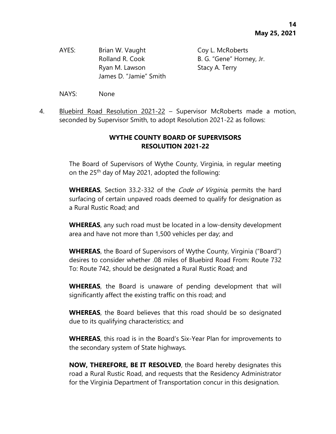AYES: Brian W. Vaught Coy L. McRoberts Ryan M. Lawson Stacy A. Terry James D. "Jamie" Smith

Rolland R. Cook B. G. "Gene" Horney, Jr.

- NAYS: None
- 4. Bluebird Road Resolution 2021-22 Supervisor McRoberts made a motion, seconded by Supervisor Smith, to adopt Resolution 2021-22 as follows:

# **WYTHE COUNTY BOARD OF SUPERVISORS RESOLUTION 2021-22**

The Board of Supervisors of Wythe County, Virginia, in regular meeting on the 25<sup>th</sup> day of May 2021, adopted the following:

**WHEREAS**, Section 33.2-332 of the Code of Virginia, permits the hard surfacing of certain unpaved roads deemed to qualify for designation as a Rural Rustic Road; and

**WHEREAS**, any such road must be located in a low-density development area and have not more than 1,500 vehicles per day; and

**WHEREAS**, the Board of Supervisors of Wythe County, Virginia ("Board") desires to consider whether .08 miles of Bluebird Road From: Route 732 To: Route 742, should be designated a Rural Rustic Road; and

**WHEREAS**, the Board is unaware of pending development that will significantly affect the existing traffic on this road; and

**WHEREAS**, the Board believes that this road should be so designated due to its qualifying characteristics; and

**WHEREAS**, this road is in the Board's Six-Year Plan for improvements to the secondary system of State highways.

**NOW, THEREFORE, BE IT RESOLVED**, the Board hereby designates this road a Rural Rustic Road, and requests that the Residency Administrator for the Virginia Department of Transportation concur in this designation.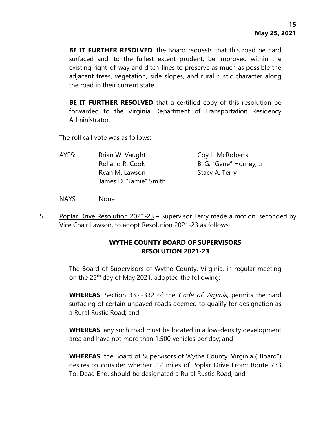**BE IT FURTHER RESOLVED**, the Board requests that this road be hard surfaced and, to the fullest extent prudent, be improved within the existing right-of-way and ditch-lines to preserve as much as possible the adjacent trees, vegetation, side slopes, and rural rustic character along the road in their current state.

**BE IT FURTHER RESOLVED** that a certified copy of this resolution be forwarded to the Virginia Department of Transportation Residency Administrator.

The roll call vote was as follows:

| AYES: | Brian W. Vaught        | Coy L. McRoberts         |
|-------|------------------------|--------------------------|
|       | Rolland R. Cook        | B. G. "Gene" Horney, Jr. |
|       | Ryan M. Lawson         | Stacy A. Terry           |
|       | James D. "Jamie" Smith |                          |

NAYS: None

5. Poplar Drive Resolution 2021-23 – Supervisor Terry made a motion, seconded by Vice Chair Lawson, to adopt Resolution 2021-23 as follows:

## **WYTHE COUNTY BOARD OF SUPERVISORS RESOLUTION 2021-23**

The Board of Supervisors of Wythe County, Virginia, in regular meeting on the 25<sup>th</sup> day of May 2021, adopted the following:

**WHEREAS**, Section 33.2-332 of the Code of Virginia, permits the hard surfacing of certain unpaved roads deemed to qualify for designation as a Rural Rustic Road; and

**WHEREAS**, any such road must be located in a low-density development area and have not more than 1,500 vehicles per day; and

**WHEREAS**, the Board of Supervisors of Wythe County, Virginia ("Board") desires to consider whether .12 miles of Poplar Drive From: Route 733 To: Dead End, should be designated a Rural Rustic Road; and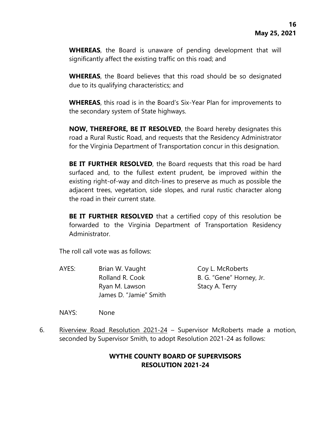**WHEREAS**, the Board is unaware of pending development that will significantly affect the existing traffic on this road; and

**WHEREAS**, the Board believes that this road should be so designated due to its qualifying characteristics; and

**WHEREAS**, this road is in the Board's Six-Year Plan for improvements to the secondary system of State highways.

**NOW, THEREFORE, BE IT RESOLVED**, the Board hereby designates this road a Rural Rustic Road, and requests that the Residency Administrator for the Virginia Department of Transportation concur in this designation.

**BE IT FURTHER RESOLVED**, the Board requests that this road be hard surfaced and, to the fullest extent prudent, be improved within the existing right-of-way and ditch-lines to preserve as much as possible the adjacent trees, vegetation, side slopes, and rural rustic character along the road in their current state.

**BE IT FURTHER RESOLVED** that a certified copy of this resolution be forwarded to the Virginia Department of Transportation Residency Administrator.

The roll call vote was as follows:

AYES: Brian W. Vaught Coy L. McRoberts Rolland R. Cook B. G. "Gene" Horney, Jr. Ryan M. Lawson Stacy A. Terry James D. "Jamie" Smith

NAYS: None

6. Riverview Road Resolution 2021-24 - Supervisor McRoberts made a motion, seconded by Supervisor Smith, to adopt Resolution 2021-24 as follows:

# **WYTHE COUNTY BOARD OF SUPERVISORS RESOLUTION 2021-24**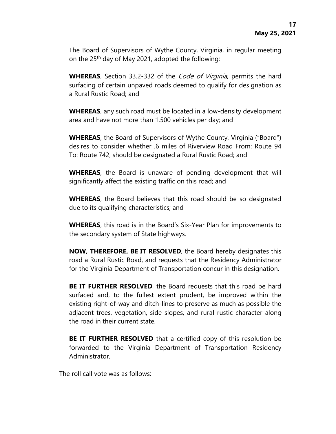The Board of Supervisors of Wythe County, Virginia, in regular meeting on the 25<sup>th</sup> day of May 2021, adopted the following:

**WHEREAS**, Section 33.2-332 of the Code of Virginia, permits the hard surfacing of certain unpaved roads deemed to qualify for designation as a Rural Rustic Road; and

**WHEREAS**, any such road must be located in a low-density development area and have not more than 1,500 vehicles per day; and

**WHEREAS**, the Board of Supervisors of Wythe County, Virginia ("Board") desires to consider whether .6 miles of Riverview Road From: Route 94 To: Route 742, should be designated a Rural Rustic Road; and

**WHEREAS**, the Board is unaware of pending development that will significantly affect the existing traffic on this road; and

**WHEREAS**, the Board believes that this road should be so designated due to its qualifying characteristics; and

**WHEREAS**, this road is in the Board's Six-Year Plan for improvements to the secondary system of State highways.

**NOW, THEREFORE, BE IT RESOLVED**, the Board hereby designates this road a Rural Rustic Road, and requests that the Residency Administrator for the Virginia Department of Transportation concur in this designation.

**BE IT FURTHER RESOLVED**, the Board requests that this road be hard surfaced and, to the fullest extent prudent, be improved within the existing right-of-way and ditch-lines to preserve as much as possible the adjacent trees, vegetation, side slopes, and rural rustic character along the road in their current state.

**BE IT FURTHER RESOLVED** that a certified copy of this resolution be forwarded to the Virginia Department of Transportation Residency Administrator.

The roll call vote was as follows: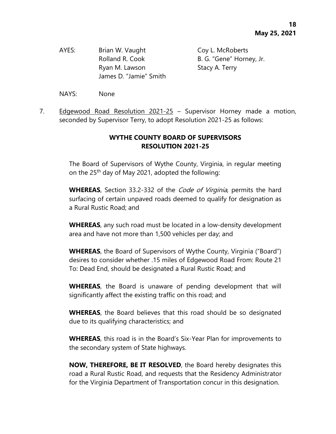AYES: Brian W. Vaught Coy L. McRoberts Ryan M. Lawson Stacy A. Terry James D. "Jamie" Smith

Rolland R. Cook B. G. "Gene" Horney, Jr.

- NAYS: None
- 7. Edgewood Road Resolution 2021-25 Supervisor Horney made a motion, seconded by Supervisor Terry, to adopt Resolution 2021-25 as follows:

# **WYTHE COUNTY BOARD OF SUPERVISORS RESOLUTION 2021-25**

The Board of Supervisors of Wythe County, Virginia, in regular meeting on the 25<sup>th</sup> day of May 2021, adopted the following:

**WHEREAS**, Section 33.2-332 of the Code of Virginia, permits the hard surfacing of certain unpaved roads deemed to qualify for designation as a Rural Rustic Road; and

**WHEREAS**, any such road must be located in a low-density development area and have not more than 1,500 vehicles per day; and

**WHEREAS**, the Board of Supervisors of Wythe County, Virginia ("Board") desires to consider whether .15 miles of Edgewood Road From: Route 21 To: Dead End, should be designated a Rural Rustic Road; and

**WHEREAS**, the Board is unaware of pending development that will significantly affect the existing traffic on this road; and

**WHEREAS**, the Board believes that this road should be so designated due to its qualifying characteristics; and

**WHEREAS**, this road is in the Board's Six-Year Plan for improvements to the secondary system of State highways.

**NOW, THEREFORE, BE IT RESOLVED**, the Board hereby designates this road a Rural Rustic Road, and requests that the Residency Administrator for the Virginia Department of Transportation concur in this designation.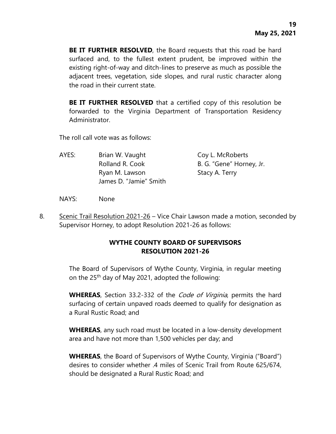**BE IT FURTHER RESOLVED**, the Board requests that this road be hard surfaced and, to the fullest extent prudent, be improved within the existing right-of-way and ditch-lines to preserve as much as possible the adjacent trees, vegetation, side slopes, and rural rustic character along the road in their current state.

**BE IT FURTHER RESOLVED** that a certified copy of this resolution be forwarded to the Virginia Department of Transportation Residency Administrator.

The roll call vote was as follows:

| AYES: | Brian W. Vaught        | Coy L. McRoberts         |
|-------|------------------------|--------------------------|
|       | Rolland R. Cook        | B. G. "Gene" Horney, Jr. |
|       | Ryan M. Lawson         | Stacy A. Terry           |
|       | James D. "Jamie" Smith |                          |

NAYS: None

8. Scenic Trail Resolution 2021-26 – Vice Chair Lawson made a motion, seconded by Supervisor Horney, to adopt Resolution 2021-26 as follows:

## **WYTHE COUNTY BOARD OF SUPERVISORS RESOLUTION 2021-26**

The Board of Supervisors of Wythe County, Virginia, in regular meeting on the 25<sup>th</sup> day of May 2021, adopted the following:

**WHEREAS**, Section 33.2-332 of the Code of Virginia, permits the hard surfacing of certain unpaved roads deemed to qualify for designation as a Rural Rustic Road; and

**WHEREAS**, any such road must be located in a low-density development area and have not more than 1,500 vehicles per day; and

**WHEREAS**, the Board of Supervisors of Wythe County, Virginia ("Board") desires to consider whether .4 miles of Scenic Trail from Route 625/674, should be designated a Rural Rustic Road; and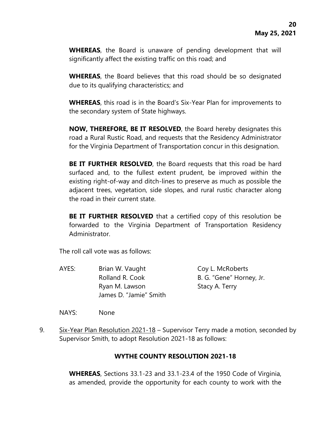**WHEREAS**, the Board is unaware of pending development that will significantly affect the existing traffic on this road; and

**WHEREAS**, the Board believes that this road should be so designated due to its qualifying characteristics; and

**WHEREAS**, this road is in the Board's Six-Year Plan for improvements to the secondary system of State highways.

**NOW, THEREFORE, BE IT RESOLVED**, the Board hereby designates this road a Rural Rustic Road, and requests that the Residency Administrator for the Virginia Department of Transportation concur in this designation.

**BE IT FURTHER RESOLVED**, the Board requests that this road be hard surfaced and, to the fullest extent prudent, be improved within the existing right-of-way and ditch-lines to preserve as much as possible the adjacent trees, vegetation, side slopes, and rural rustic character along the road in their current state.

**BE IT FURTHER RESOLVED** that a certified copy of this resolution be forwarded to the Virginia Department of Transportation Residency Administrator.

The roll call vote was as follows:

AYES: Brian W. Vaught Coy L. McRoberts Rolland R. Cook B. G. "Gene" Horney, Jr. Ryan M. Lawson Stacy A. Terry James D. "Jamie" Smith

NAYS: None

9. Six-Year Plan Resolution 2021-18 – Supervisor Terry made a motion, seconded by Supervisor Smith, to adopt Resolution 2021-18 as follows:

# **WYTHE COUNTY RESOLUTION 2021-18**

**WHEREAS**, Sections 33.1-23 and 33.1-23.4 of the 1950 Code of Virginia, as amended, provide the opportunity for each county to work with the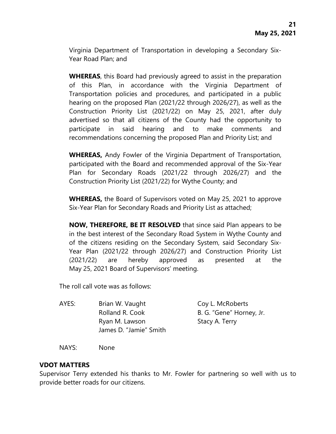Virginia Department of Transportation in developing a Secondary Six-Year Road Plan; and

**WHEREAS**, this Board had previously agreed to assist in the preparation of this Plan, in accordance with the Virginia Department of Transportation policies and procedures, and participated in a public hearing on the proposed Plan (2021/22 through 2026/27), as well as the Construction Priority List (2021/22) on May 25, 2021, after duly advertised so that all citizens of the County had the opportunity to participate in said hearing and to make comments and recommendations concerning the proposed Plan and Priority List; and

**WHEREAS,** Andy Fowler of the Virginia Department of Transportation, participated with the Board and recommended approval of the Six-Year Plan for Secondary Roads (2021/22 through 2026/27) and the Construction Priority List (2021/22) for Wythe County; and

**WHEREAS,** the Board of Supervisors voted on May 25, 2021 to approve Six-Year Plan for Secondary Roads and Priority List as attached;

**NOW, THEREFORE, BE IT RESOLVED** that since said Plan appears to be in the best interest of the Secondary Road System in Wythe County and of the citizens residing on the Secondary System, said Secondary Six-Year Plan (2021/22 through 2026/27) and Construction Priority List (2021/22) are hereby approved as presented at the May 25, 2021 Board of Supervisors' meeting.

The roll call vote was as follows:

| AYES: | Brian W. Vaught        | Coy L. McRoberts         |
|-------|------------------------|--------------------------|
|       | Rolland R. Cook        | B. G. "Gene" Horney, Jr. |
|       | Ryan M. Lawson         | Stacy A. Terry           |
|       | James D. "Jamie" Smith |                          |

NAYS: None

#### **VDOT MATTERS**

Supervisor Terry extended his thanks to Mr. Fowler for partnering so well with us to provide better roads for our citizens.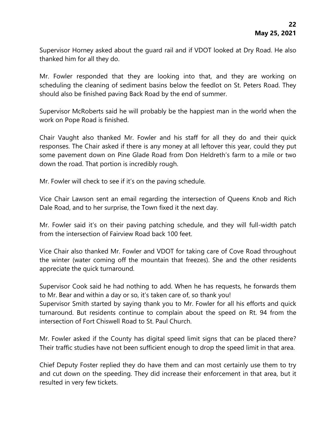Supervisor Horney asked about the guard rail and if VDOT looked at Dry Road. He also thanked him for all they do.

Mr. Fowler responded that they are looking into that, and they are working on scheduling the cleaning of sediment basins below the feedlot on St. Peters Road. They should also be finished paving Back Road by the end of summer.

Supervisor McRoberts said he will probably be the happiest man in the world when the work on Pope Road is finished.

Chair Vaught also thanked Mr. Fowler and his staff for all they do and their quick responses. The Chair asked if there is any money at all leftover this year, could they put some pavement down on Pine Glade Road from Don Heldreth's farm to a mile or two down the road. That portion is incredibly rough.

Mr. Fowler will check to see if it's on the paving schedule.

Vice Chair Lawson sent an email regarding the intersection of Queens Knob and Rich Dale Road, and to her surprise, the Town fixed it the next day.

Mr. Fowler said it's on their paving patching schedule, and they will full-width patch from the intersection of Fairview Road back 100 feet.

Vice Chair also thanked Mr. Fowler and VDOT for taking care of Cove Road throughout the winter (water coming off the mountain that freezes). She and the other residents appreciate the quick turnaround.

Supervisor Cook said he had nothing to add. When he has requests, he forwards them to Mr. Bear and within a day or so, it's taken care of, so thank you!

Supervisor Smith started by saying thank you to Mr. Fowler for all his efforts and quick turnaround. But residents continue to complain about the speed on Rt. 94 from the intersection of Fort Chiswell Road to St. Paul Church.

Mr. Fowler asked if the County has digital speed limit signs that can be placed there? Their traffic studies have not been sufficient enough to drop the speed limit in that area.

Chief Deputy Foster replied they do have them and can most certainly use them to try and cut down on the speeding. They did increase their enforcement in that area, but it resulted in very few tickets.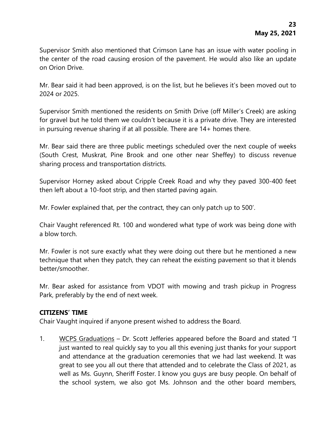Supervisor Smith also mentioned that Crimson Lane has an issue with water pooling in the center of the road causing erosion of the pavement. He would also like an update on Orion Drive.

Mr. Bear said it had been approved, is on the list, but he believes it's been moved out to 2024 or 2025.

Supervisor Smith mentioned the residents on Smith Drive (off Miller's Creek) are asking for gravel but he told them we couldn't because it is a private drive. They are interested in pursuing revenue sharing if at all possible. There are 14+ homes there.

Mr. Bear said there are three public meetings scheduled over the next couple of weeks (South Crest, Muskrat, Pine Brook and one other near Sheffey) to discuss revenue sharing process and transportation districts.

Supervisor Horney asked about Cripple Creek Road and why they paved 300-400 feet then left about a 10-foot strip, and then started paving again.

Mr. Fowler explained that, per the contract, they can only patch up to 500'.

Chair Vaught referenced Rt. 100 and wondered what type of work was being done with a blow torch.

Mr. Fowler is not sure exactly what they were doing out there but he mentioned a new technique that when they patch, they can reheat the existing pavement so that it blends better/smoother.

Mr. Bear asked for assistance from VDOT with mowing and trash pickup in Progress Park, preferably by the end of next week.

#### **CITIZENS' TIME**

Chair Vaught inquired if anyone present wished to address the Board.

1. WCPS Graduations – Dr. Scott Jefferies appeared before the Board and stated "I just wanted to real quickly say to you all this evening just thanks for your support and attendance at the graduation ceremonies that we had last weekend. It was great to see you all out there that attended and to celebrate the Class of 2021, as well as Ms. Guynn, Sheriff Foster. I know you guys are busy people. On behalf of the school system, we also got Ms. Johnson and the other board members,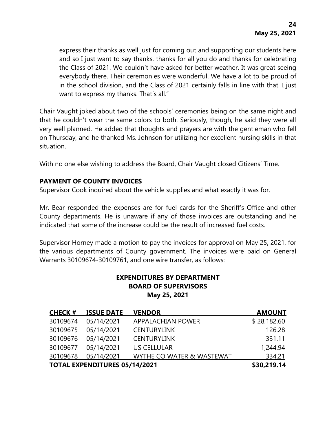express their thanks as well just for coming out and supporting our students here and so I just want to say thanks, thanks for all you do and thanks for celebrating the Class of 2021. We couldn't have asked for better weather. It was great seeing everybody there. Their ceremonies were wonderful. We have a lot to be proud of in the school division, and the Class of 2021 certainly falls in line with that. I just want to express my thanks. That's all."

Chair Vaught joked about two of the schools' ceremonies being on the same night and that he couldn't wear the same colors to both. Seriously, though, he said they were all very well planned. He added that thoughts and prayers are with the gentleman who fell on Thursday, and he thanked Ms. Johnson for utilizing her excellent nursing skills in that situation.

With no one else wishing to address the Board, Chair Vaught closed Citizens' Time.

### **PAYMENT OF COUNTY INVOICES**

Supervisor Cook inquired about the vehicle supplies and what exactly it was for.

Mr. Bear responded the expenses are for fuel cards for the Sheriff's Office and other County departments. He is unaware if any of those invoices are outstanding and he indicated that some of the increase could be the result of increased fuel costs.

Supervisor Horney made a motion to pay the invoices for approval on May 25, 2021, for the various departments of County government. The invoices were paid on General Warrants 30109674-30109761, and one wire transfer, as follows:

# **EXPENDITURES BY DEPARTMENT BOARD OF SUPERVISORS May 25, 2021**

| <b>CHECK #</b> | <b>ISSUE DATE</b>                    | <b>VENDOR</b>             | <b>AMOUNT</b> |
|----------------|--------------------------------------|---------------------------|---------------|
| 30109674       | 05/14/2021                           | <b>APPALACHIAN POWER</b>  | \$28,182.60   |
| 30109675       | 05/14/2021                           | <b>CENTURYLINK</b>        | 126.28        |
| 30109676       | 05/14/2021                           | <b>CENTURYLINK</b>        | 331.11        |
| 30109677       | 05/14/2021                           | <b>US CELLULAR</b>        | 1,244.94      |
| 30109678       | 05/14/2021                           | WYTHE CO WATER & WASTEWAT | 334.21        |
|                | <b>TOTAL EXPENDITURES 05/14/2021</b> |                           | \$30,219.14   |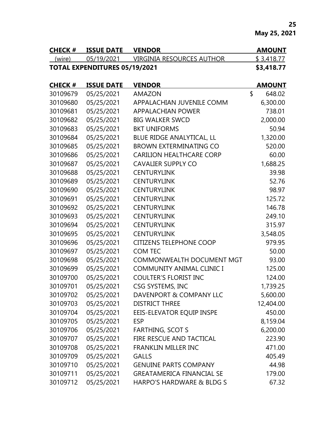**May 25, 2021**

| <b>CHECK #</b> | <b>ISSUE DATE</b>                    | <b>VENDOR</b>             | <b>AMOUNT</b> |
|----------------|--------------------------------------|---------------------------|---------------|
| (wire)         | 05/19/2021                           | VIRGINIA RESOURCES AUTHOR | \$3,418.77    |
|                | <b>TOTAL EXPENDITURES 05/19/2021</b> |                           | \$3,418.77    |

| <b>CHECK#</b> | <b>ISSUE DATE</b> | <b>VENDOR</b>                    | <b>AMOUNT</b> |
|---------------|-------------------|----------------------------------|---------------|
| 30109679      | 05/25/2021        | <b>AMAZON</b>                    | \$<br>648.02  |
| 30109680      | 05/25/2021        | APPALACHIAN JUVENILE COMM        | 6,300.00      |
| 30109681      | 05/25/2021        | <b>APPALACHIAN POWER</b>         | 738.01        |
| 30109682      | 05/25/2021        | <b>BIG WALKER SWCD</b>           | 2,000.00      |
| 30109683      | 05/25/2021        | <b>BKT UNIFORMS</b>              | 50.94         |
| 30109684      | 05/25/2021        | BLUE RIDGE ANALYTICAL, LL        | 1,320.00      |
| 30109685      | 05/25/2021        | <b>BROWN EXTERMINATING CO</b>    | 520.00        |
| 30109686      | 05/25/2021        | <b>CARILION HEALTHCARE CORP</b>  | 60.00         |
| 30109687      | 05/25/2021        | <b>CAVALIER SUPPLY CO</b>        | 1,688.25      |
| 30109688      | 05/25/2021        | <b>CENTURYLINK</b>               | 39.98         |
| 30109689      | 05/25/2021        | <b>CENTURYLINK</b>               | 52.76         |
| 30109690      | 05/25/2021        | <b>CENTURYLINK</b>               | 98.97         |
| 30109691      | 05/25/2021        | <b>CENTURYLINK</b>               | 125.72        |
| 30109692      | 05/25/2021        | <b>CENTURYLINK</b>               | 146.78        |
| 30109693      | 05/25/2021        | <b>CENTURYLINK</b>               | 249.10        |
| 30109694      | 05/25/2021        | <b>CENTURYLINK</b>               | 315.97        |
| 30109695      | 05/25/2021        | <b>CENTURYLINK</b>               | 3,548.05      |
| 30109696      | 05/25/2021        | <b>CITIZENS TELEPHONE COOP</b>   | 979.95        |
| 30109697      | 05/25/2021        | <b>COM TEC</b>                   | 50.00         |
| 30109698      | 05/25/2021        | <b>COMMONWEALTH DOCUMENT MGT</b> | 93.00         |
| 30109699      | 05/25/2021        | <b>COMMUNITY ANIMAL CLINIC I</b> | 125.00        |
| 30109700      | 05/25/2021        | <b>COULTER'S FLORIST INC</b>     | 124.00        |
| 30109701      | 05/25/2021        | CSG SYSTEMS, INC                 | 1,739.25      |
| 30109702      | 05/25/2021        | DAVENPORT & COMPANY LLC          | 5,600.00      |
| 30109703      | 05/25/2021        | <b>DISTRICT THREE</b>            | 12,404.00     |
| 30109704      | 05/25/2021        | EEIS-ELEVATOR EQUIP INSPE        | 450.00        |
| 30109705      | 05/25/2021        | <b>ESP</b>                       | 8,159.04      |
| 30109706      | 05/25/2021        | <b>FARTHING, SCOT S</b>          | 6,200.00      |
| 30109707      | 05/25/2021        | FIRE RESCUE AND TACTICAL         | 223.90        |
| 30109708      | 05/25/2021        | <b>FRANKLIN MILLER INC</b>       | 471.00        |
| 30109709      | 05/25/2021        | <b>GALLS</b>                     | 405.49        |
| 30109710      | 05/25/2021        | <b>GENUINE PARTS COMPANY</b>     | 44.98         |
| 30109711      | 05/25/2021        | <b>GREATAMERICA FINANCIAL SE</b> | 179.00        |
| 30109712      | 05/25/2021        | HARPO'S HARDWARE & BLDG S        | 67.32         |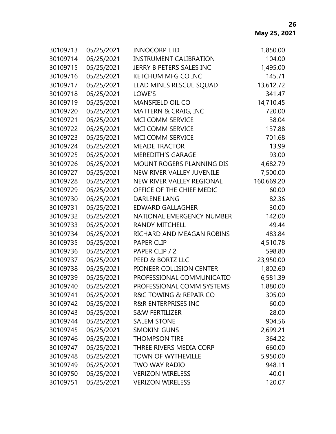| 30109713 | 05/25/2021 | <b>INNOCORP LTD</b>            | 1,850.00   |
|----------|------------|--------------------------------|------------|
| 30109714 | 05/25/2021 | <b>INSTRUMENT CALIBRATION</b>  | 104.00     |
| 30109715 | 05/25/2021 | JERRY B PETERS SALES INC       | 1,495.00   |
| 30109716 | 05/25/2021 | <b>KETCHUM MFG CO INC</b>      | 145.71     |
| 30109717 | 05/25/2021 | LEAD MINES RESCUE SQUAD        | 13,612.72  |
| 30109718 | 05/25/2021 | LOWE'S                         | 341.47     |
| 30109719 | 05/25/2021 | <b>MANSFIELD OIL CO</b>        | 14,710.45  |
| 30109720 | 05/25/2021 | MATTERN & CRAIG, INC           | 720.00     |
| 30109721 | 05/25/2021 | MCI COMM SERVICE               | 38.04      |
| 30109722 | 05/25/2021 | MCI COMM SERVICE               | 137.88     |
| 30109723 | 05/25/2021 | <b>MCI COMM SERVICE</b>        | 701.68     |
| 30109724 | 05/25/2021 | <b>MEADE TRACTOR</b>           | 13.99      |
| 30109725 | 05/25/2021 | <b>MEREDITH'S GARAGE</b>       | 93.00      |
| 30109726 | 05/25/2021 | MOUNT ROGERS PLANNING DIS      | 4,682.79   |
| 30109727 | 05/25/2021 | NEW RIVER VALLEY JUVENILE      | 7,500.00   |
| 30109728 | 05/25/2021 | NEW RIVER VALLEY REGIONAL      | 160,669.20 |
| 30109729 | 05/25/2021 | OFFICE OF THE CHIEF MEDIC      | 60.00      |
| 30109730 | 05/25/2021 | <b>DARLENE LANG</b>            | 82.36      |
| 30109731 | 05/25/2021 | <b>EDWARD GALLAGHER</b>        | 30.00      |
| 30109732 | 05/25/2021 | NATIONAL EMERGENCY NUMBER      | 142.00     |
| 30109733 | 05/25/2021 | <b>RANDY MITCHELL</b>          | 49.44      |
| 30109734 | 05/25/2021 | RICHARD AND MEAGAN ROBINS      | 483.84     |
| 30109735 | 05/25/2021 | <b>PAPER CLIP</b>              | 4,510.78   |
| 30109736 | 05/25/2021 | PAPER CLIP / 2                 | 598.80     |
| 30109737 | 05/25/2021 | PEED & BORTZ LLC               | 23,950.00  |
| 30109738 | 05/25/2021 | PIONEER COLLISION CENTER       | 1,802.60   |
| 30109739 | 05/25/2021 | PROFESSIONAL COMMUNICATIO      | 6,581.39   |
| 30109740 | 05/25/2021 | PROFESSIONAL COMM SYSTEMS      | 1,880.00   |
| 30109741 | 05/25/2021 | R&C TOWING & REPAIR CO         | 305.00     |
| 30109742 | 05/25/2021 | <b>R&amp;R ENTERPRISES INC</b> | 60.00      |
| 30109743 | 05/25/2021 | <b>S&amp;W FERTILIZER</b>      | 28.00      |
| 30109744 | 05/25/2021 | <b>SALEM STONE</b>             | 904.56     |
| 30109745 | 05/25/2021 | <b>SMOKIN' GUNS</b>            | 2,699.21   |
| 30109746 | 05/25/2021 | <b>THOMPSON TIRE</b>           | 364.22     |
| 30109747 | 05/25/2021 | THREE RIVERS MEDIA CORP        | 660.00     |
| 30109748 | 05/25/2021 | <b>TOWN OF WYTHEVILLE</b>      | 5,950.00   |
| 30109749 | 05/25/2021 | <b>TWO WAY RADIO</b>           | 948.11     |
| 30109750 | 05/25/2021 | <b>VERIZON WIRELESS</b>        | 40.01      |
| 30109751 | 05/25/2021 | <b>VERIZON WIRELESS</b>        | 120.07     |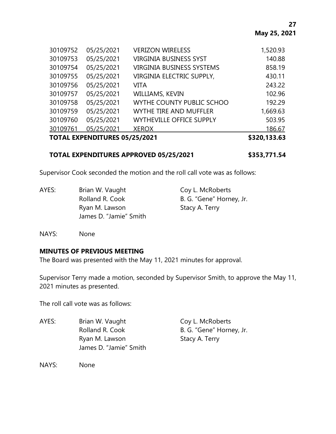|          | <b>TOTAL EXPENDITURES 05/25/2021</b> |                                  | \$320,133.63 |
|----------|--------------------------------------|----------------------------------|--------------|
| 30109761 | 05/25/2021                           | <b>XEROX</b>                     | 186.67       |
| 30109760 | 05/25/2021                           | <b>WYTHEVILLE OFFICE SUPPLY</b>  | 503.95       |
| 30109759 | 05/25/2021                           | WYTHE TIRE AND MUFFLER           | 1,669.63     |
| 30109758 | 05/25/2021                           | WYTHE COUNTY PUBLIC SCHOO        | 192.29       |
| 30109757 | 05/25/2021                           | WILLIAMS, KEVIN                  | 102.96       |
| 30109756 | 05/25/2021                           | VITA                             | 243.22       |
| 30109755 | 05/25/2021                           | VIRGINIA ELECTRIC SUPPLY,        | 430.11       |
| 30109754 | 05/25/2021                           | <b>VIRGINIA BUSINESS SYSTEMS</b> | 858.19       |
| 30109753 | 05/25/2021                           | <b>VIRGINIA BUSINESS SYST</b>    | 140.88       |
| 30109752 | 05/25/2021                           | <b>VERIZON WIRELESS</b>          | 1,520.93     |

#### **TOTAL EXPENDITURES APPROVED 05/25/2021 \$353,771.54**

Supervisor Cook seconded the motion and the roll call vote was as follows:

| AYES: | Brian W. Vaught        | Coy L. McRoberts         |
|-------|------------------------|--------------------------|
|       | Rolland R. Cook        | B. G. "Gene" Horney, Jr. |
|       | Ryan M. Lawson         | Stacy A. Terry           |
|       | James D. "Jamie" Smith |                          |

NAYS: None

### **MINUTES OF PREVIOUS MEETING**

The Board was presented with the May 11, 2021 minutes for approval.

Supervisor Terry made a motion, seconded by Supervisor Smith, to approve the May 11, 2021 minutes as presented.

The roll call vote was as follows:

AYES: Brian W. Vaught Coy L. McRoberts Rolland R. Cook B. G. "Gene" Horney, Jr. Ryan M. Lawson Stacy A. Terry James D. "Jamie" Smith

NAYS: None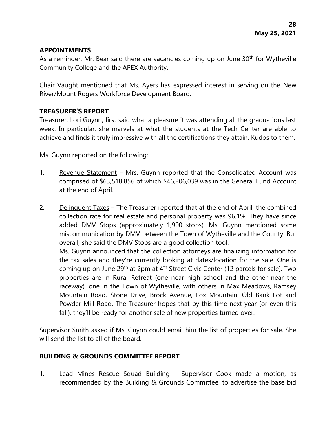### **APPOINTMENTS**

As a reminder, Mr. Bear said there are vacancies coming up on June  $30<sup>th</sup>$  for Wytheville Community College and the APEX Authority.

Chair Vaught mentioned that Ms. Ayers has expressed interest in serving on the New River/Mount Rogers Workforce Development Board.

## **TREASURER'S REPORT**

Treasurer, Lori Guynn, first said what a pleasure it was attending all the graduations last week. In particular, she marvels at what the students at the Tech Center are able to achieve and finds it truly impressive with all the certifications they attain. Kudos to them.

Ms. Guynn reported on the following:

- 1. Revenue Statement Mrs. Guynn reported that the Consolidated Account was comprised of \$63,518,856 of which \$46,206,039 was in the General Fund Account at the end of April.
- 2. Delinquent Taxes The Treasurer reported that at the end of April, the combined collection rate for real estate and personal property was 96.1%. They have since added DMV Stops (approximately 1,900 stops). Ms. Guynn mentioned some miscommunication by DMV between the Town of Wytheville and the County. But overall, she said the DMV Stops are a good collection tool. Ms. Guynn announced that the collection attorneys are finalizing information for the tax sales and they're currently looking at dates/location for the sale. One is coming up on June 29th at 2pm at 4th Street Civic Center (12 parcels for sale). Two properties are in Rural Retreat (one near high school and the other near the raceway), one in the Town of Wytheville, with others in Max Meadows, Ramsey Mountain Road, Stone Drive, Brock Avenue, Fox Mountain, Old Bank Lot and Powder Mill Road. The Treasurer hopes that by this time next year (or even this

Supervisor Smith asked if Ms. Guynn could email him the list of properties for sale. She will send the list to all of the board.

fall), they'll be ready for another sale of new properties turned over.

### **BUILDING & GROUNDS COMMITTEE REPORT**

1. Lead Mines Rescue Squad Building – Supervisor Cook made a motion, as recommended by the Building & Grounds Committee, to advertise the base bid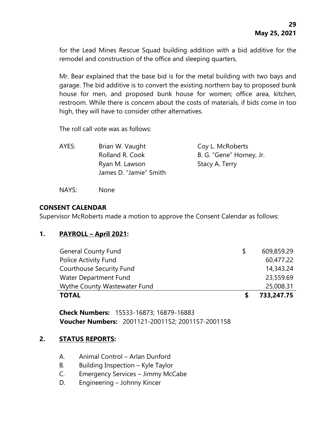for the Lead Mines Rescue Squad building addition with a bid additive for the remodel and construction of the office and sleeping quarters.

Mr. Bear explained that the base bid is for the metal building with two bays and garage. The bid additive is to convert the existing northern bay to proposed bunk house for men, and proposed bunk house for women; office area, kitchen, restroom. While there is concern about the costs of materials, if bids come in too high, they will have to consider other alternatives.

The roll call vote was as follows:

| AYES: | Brian W. Vaught        | Coy L. McRoberts         |
|-------|------------------------|--------------------------|
|       | Rolland R. Cook        | B. G. "Gene" Horney, Jr. |
|       | Ryan M. Lawson         | Stacy A. Terry           |
|       | James D. "Jamie" Smith |                          |
|       |                        |                          |

NAYS: None

### **CONSENT CALENDAR**

Supervisor McRoberts made a motion to approve the Consent Calendar as follows:

# **1. PAYROLL – April 2021:**

| <b>General County Fund</b>      |  | 609,859.29 |
|---------------------------------|--|------------|
| <b>Police Activity Fund</b>     |  | 60,477.22  |
| <b>Courthouse Security Fund</b> |  | 14,343.24  |
| Water Department Fund           |  | 23,559.69  |
| Wythe County Wastewater Fund    |  | 25,008.31  |
| <b>TOTAL</b>                    |  | 733,247.75 |

**Check Numbers:** 15533-16873; 16879-16883 **Voucher Numbers:** 2001121-2001152; 2001157-2001158

### **2. STATUS REPORTS:**

- A. Animal Control Arlan Dunford
- B. Building Inspection Kyle Taylor
- C. Emergency Services Jimmy McCabe
- D. Engineering Johnny Kincer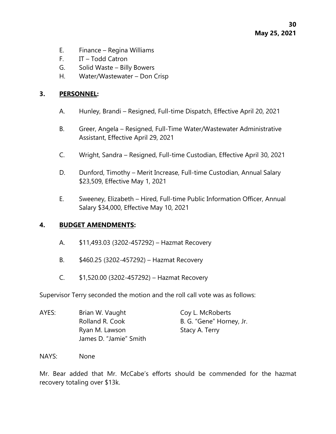- E. Finance Regina Williams
- F. IT Todd Catron
- G. Solid Waste Billy Bowers
- H. Water/Wastewater Don Crisp

#### **3. PERSONNEL:**

- A. Hunley, Brandi Resigned, Full-time Dispatch, Effective April 20, 2021
- B. Greer, Angela Resigned, Full-Time Water/Wastewater Administrative Assistant, Effective April 29, 2021
- C. Wright, Sandra Resigned, Full-time Custodian, Effective April 30, 2021
- D. Dunford, Timothy Merit Increase, Full-time Custodian, Annual Salary \$23,509, Effective May 1, 2021
- E. Sweeney, Elizabeth Hired, Full-time Public Information Officer, Annual Salary \$34,000, Effective May 10, 2021

### **4. BUDGET AMENDMENTS:**

- A. \$11,493.03 (3202-457292) Hazmat Recovery
- B. \$460.25 (3202-457292) Hazmat Recovery
- C. \$1,520.00 (3202-457292) Hazmat Recovery

Supervisor Terry seconded the motion and the roll call vote was as follows:

| AYES: | Brian W. Vaught        | Coy L. McRoberts         |
|-------|------------------------|--------------------------|
|       | Rolland R. Cook        | B. G. "Gene" Horney, Jr. |
|       | Ryan M. Lawson         | Stacy A. Terry           |
|       | James D. "Jamie" Smith |                          |

NAYS: None

Mr. Bear added that Mr. McCabe's efforts should be commended for the hazmat recovery totaling over \$13k.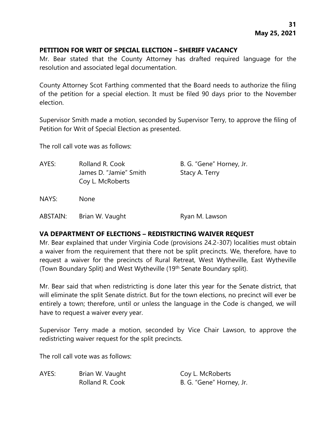### **PETITION FOR WRIT OF SPECIAL ELECTION – SHERIFF VACANCY**

Mr. Bear stated that the County Attorney has drafted required language for the resolution and associated legal documentation.

County Attorney Scot Farthing commented that the Board needs to authorize the filing of the petition for a special election. It must be filed 90 days prior to the November election.

Supervisor Smith made a motion, seconded by Supervisor Terry, to approve the filing of Petition for Writ of Special Election as presented.

The roll call vote was as follows:

| AYES:    | Rolland R. Cook<br>James D. "Jamie" Smith<br>Coy L. McRoberts | B. G. "Gene" Horney, Jr.<br>Stacy A. Terry |
|----------|---------------------------------------------------------------|--------------------------------------------|
| NAYS:    | <b>None</b>                                                   |                                            |
| ABSTAIN: | Brian W. Vaught                                               | Ryan M. Lawson                             |

### **VA DEPARTMENT OF ELECTIONS – REDISTRICTING WAIVER REQUEST**

Mr. Bear explained that under Virginia Code (provisions 24.2-307) localities must obtain a waiver from the requirement that there not be split precincts. We, therefore, have to request a waiver for the precincts of Rural Retreat, West Wytheville, East Wytheville (Town Boundary Split) and West Wytheville (19th Senate Boundary split).

Mr. Bear said that when redistricting is done later this year for the Senate district, that will eliminate the split Senate district. But for the town elections, no precinct will ever be entirely a town; therefore, until or unless the language in the Code is changed, we will have to request a waiver every year.

Supervisor Terry made a motion, seconded by Vice Chair Lawson, to approve the redistricting waiver request for the split precincts.

The roll call vote was as follows:

AYES: Brian W. Vaught Coy L. McRoberts

Rolland R. Cook B. G. "Gene" Horney, Jr.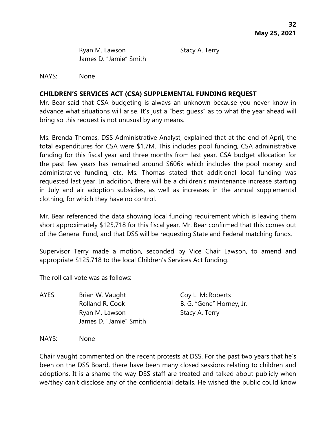Ryan M. Lawson Stacy A. Terry James D. "Jamie" Smith

NAYS: None

## **CHILDREN'S SERVICES ACT (CSA) SUPPLEMENTAL FUNDING REQUEST**

Mr. Bear said that CSA budgeting is always an unknown because you never know in advance what situations will arise. It's just a "best guess" as to what the year ahead will bring so this request is not unusual by any means.

Ms. Brenda Thomas, DSS Administrative Analyst, explained that at the end of April, the total expenditures for CSA were \$1.7M. This includes pool funding, CSA administrative funding for this fiscal year and three months from last year. CSA budget allocation for the past few years has remained around \$606k which includes the pool money and administrative funding, etc. Ms. Thomas stated that additional local funding was requested last year. In addition, there will be a children's maintenance increase starting in July and air adoption subsidies, as well as increases in the annual supplemental clothing, for which they have no control.

Mr. Bear referenced the data showing local funding requirement which is leaving them short approximately \$125,718 for this fiscal year. Mr. Bear confirmed that this comes out of the General Fund, and that DSS will be requesting State and Federal matching funds.

Supervisor Terry made a motion, seconded by Vice Chair Lawson, to amend and appropriate \$125,718 to the local Children's Services Act funding.

The roll call vote was as follows:

AYES: Brian W. Vaught Coy L. McRoberts Rolland R. Cook B. G. "Gene" Horney, Jr. Ryan M. Lawson Stacy A. Terry James D. "Jamie" Smith

NAYS: None

Chair Vaught commented on the recent protests at DSS. For the past two years that he's been on the DSS Board, there have been many closed sessions relating to children and adoptions. It is a shame the way DSS staff are treated and talked about publicly when we/they can't disclose any of the confidential details. He wished the public could know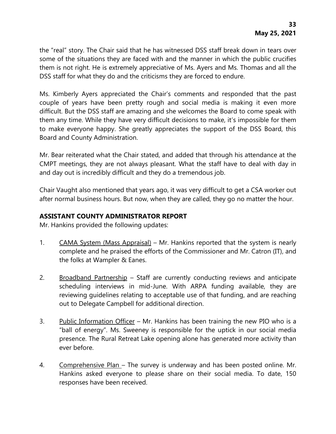the "real" story. The Chair said that he has witnessed DSS staff break down in tears over some of the situations they are faced with and the manner in which the public crucifies them is not right. He is extremely appreciative of Ms. Ayers and Ms. Thomas and all the DSS staff for what they do and the criticisms they are forced to endure.

Ms. Kimberly Ayers appreciated the Chair's comments and responded that the past couple of years have been pretty rough and social media is making it even more difficult. But the DSS staff are amazing and she welcomes the Board to come speak with them any time. While they have very difficult decisions to make, it's impossible for them to make everyone happy. She greatly appreciates the support of the DSS Board, this Board and County Administration.

Mr. Bear reiterated what the Chair stated, and added that through his attendance at the CMPT meetings, they are not always pleasant. What the staff have to deal with day in and day out is incredibly difficult and they do a tremendous job.

Chair Vaught also mentioned that years ago, it was very difficult to get a CSA worker out after normal business hours. But now, when they are called, they go no matter the hour.

## **ASSISTANT COUNTY ADMINISTRATOR REPORT**

Mr. Hankins provided the following updates:

- 1. CAMA System (Mass Appraisal) Mr. Hankins reported that the system is nearly complete and he praised the efforts of the Commissioner and Mr. Catron (IT), and the folks at Wampler & Eanes.
- 2. Broadband Partnership Staff are currently conducting reviews and anticipate scheduling interviews in mid-June. With ARPA funding available, they are reviewing guidelines relating to acceptable use of that funding, and are reaching out to Delegate Campbell for additional direction.
- 3. Public Information Officer Mr. Hankins has been training the new PIO who is a "ball of energy". Ms. Sweeney is responsible for the uptick in our social media presence. The Rural Retreat Lake opening alone has generated more activity than ever before.
- 4. Comprehensive Plan The survey is underway and has been posted online. Mr. Hankins asked everyone to please share on their social media. To date, 150 responses have been received.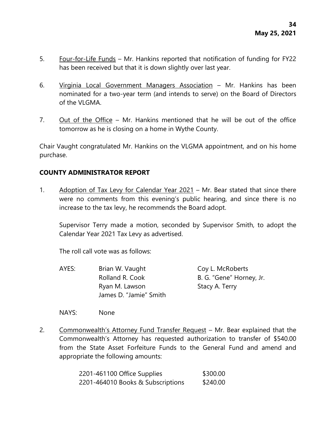- 5. Four-for-Life Funds Mr. Hankins reported that notification of funding for FY22 has been received but that it is down slightly over last year.
- 6. Virginia Local Government Managers Association Mr. Hankins has been nominated for a two-year term (and intends to serve) on the Board of Directors of the VLGMA.
- 7. Out of the Office Mr. Hankins mentioned that he will be out of the office tomorrow as he is closing on a home in Wythe County.

Chair Vaught congratulated Mr. Hankins on the VLGMA appointment, and on his home purchase.

### **COUNTY ADMINISTRATOR REPORT**

1. Adoption of Tax Levy for Calendar Year 2021 – Mr. Bear stated that since there were no comments from this evening's public hearing, and since there is no increase to the tax levy, he recommends the Board adopt.

Supervisor Terry made a motion, seconded by Supervisor Smith, to adopt the Calendar Year 2021 Tax Levy as advertised.

The roll call vote was as follows:

AYES: Brian W. Vaught Coy L. McRoberts Rolland R. Cook B. G. "Gene" Horney, Jr. Ryan M. Lawson Stacy A. Terry James D. "Jamie" Smith

NAYS: None

2. Commonwealth's Attorney Fund Transfer Request - Mr. Bear explained that the Commonwealth's Attorney has requested authorization to transfer of \$540.00 from the State Asset Forfeiture Funds to the General Fund and amend and appropriate the following amounts:

> 2201-461100 Office Supplies \$300.00 2201-464010 Books & Subscriptions \$240.00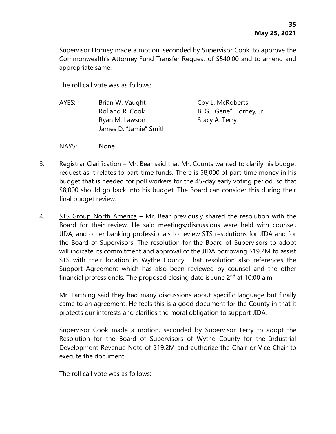Supervisor Horney made a motion, seconded by Supervisor Cook, to approve the Commonwealth's Attorney Fund Transfer Request of \$540.00 and to amend and appropriate same.

The roll call vote was as follows:

- AYES: Brian W. Vaught Coy L. McRoberts Rolland R. Cook B. G. "Gene" Horney, Jr. Ryan M. Lawson Stacy A. Terry James D. "Jamie" Smith
- NAYS: None
- 3. Registrar Clarification Mr. Bear said that Mr. Counts wanted to clarify his budget request as it relates to part-time funds. There is \$8,000 of part-time money in his budget that is needed for poll workers for the 45-day early voting period, so that \$8,000 should go back into his budget. The Board can consider this during their final budget review.
- 4. STS Group North America Mr. Bear previously shared the resolution with the Board for their review. He said meetings/discussions were held with counsel, JIDA, and other banking professionals to review STS resolutions for JIDA and for the Board of Supervisors. The resolution for the Board of Supervisors to adopt will indicate its commitment and approval of the JIDA borrowing \$19.2M to assist STS with their location in Wythe County. That resolution also references the Support Agreement which has also been reviewed by counsel and the other financial professionals. The proposed closing date is June  $2<sup>nd</sup>$  at 10:00 a.m.

Mr. Farthing said they had many discussions about specific language but finally came to an agreement. He feels this is a good document for the County in that it protects our interests and clarifies the moral obligation to support JIDA.

Supervisor Cook made a motion, seconded by Supervisor Terry to adopt the Resolution for the Board of Supervisors of Wythe County for the Industrial Development Revenue Note of \$19.2M and authorize the Chair or Vice Chair to execute the document.

The roll call vote was as follows: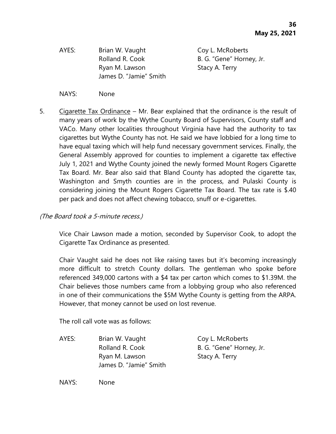AYES: Brian W. Vaught Coy L. McRoberts Ryan M. Lawson Stacy A. Terry James D. "Jamie" Smith

Rolland R. Cook B. G. "Gene" Horney, Jr.

- NAYS: None
- 5. Cigarette Tax Ordinance Mr. Bear explained that the ordinance is the result of many years of work by the Wythe County Board of Supervisors, County staff and VACo. Many other localities throughout Virginia have had the authority to tax cigarettes but Wythe County has not. He said we have lobbied for a long time to have equal taxing which will help fund necessary government services. Finally, the General Assembly approved for counties to implement a cigarette tax effective July 1, 2021 and Wythe County joined the newly formed Mount Rogers Cigarette Tax Board. Mr. Bear also said that Bland County has adopted the cigarette tax, Washington and Smyth counties are in the process, and Pulaski County is considering joining the Mount Rogers Cigarette Tax Board. The tax rate is \$.40 per pack and does not affect chewing tobacco, snuff or e-cigarettes.

## (The Board took a 5-minute recess.)

Vice Chair Lawson made a motion, seconded by Supervisor Cook, to adopt the Cigarette Tax Ordinance as presented.

Chair Vaught said he does not like raising taxes but it's becoming increasingly more difficult to stretch County dollars. The gentleman who spoke before referenced 349,000 cartons with a \$4 tax per carton which comes to \$1.39M. the Chair believes those numbers came from a lobbying group who also referenced in one of their communications the \$5M Wythe County is getting from the ARPA. However, that money cannot be used on lost revenue.

The roll call vote was as follows:

AYES: Brian W. Vaught Coy L. McRoberts Ryan M. Lawson Stacy A. Terry James D. "Jamie" Smith

Rolland R. Cook B. G. "Gene" Horney, Jr.

NAYS: None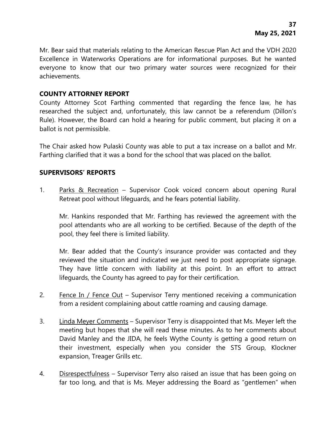Mr. Bear said that materials relating to the American Rescue Plan Act and the VDH 2020 Excellence in Waterworks Operations are for informational purposes. But he wanted everyone to know that our two primary water sources were recognized for their achievements.

#### **COUNTY ATTORNEY REPORT**

County Attorney Scot Farthing commented that regarding the fence law, he has researched the subject and, unfortunately, this law cannot be a referendum (Dillon's Rule). However, the Board can hold a hearing for public comment, but placing it on a ballot is not permissible.

The Chair asked how Pulaski County was able to put a tax increase on a ballot and Mr. Farthing clarified that it was a bond for the school that was placed on the ballot.

#### **SUPERVISORS' REPORTS**

1. Parks & Recreation – Supervisor Cook voiced concern about opening Rural Retreat pool without lifeguards, and he fears potential liability.

Mr. Hankins responded that Mr. Farthing has reviewed the agreement with the pool attendants who are all working to be certified. Because of the depth of the pool, they feel there is limited liability.

Mr. Bear added that the County's insurance provider was contacted and they reviewed the situation and indicated we just need to post appropriate signage. They have little concern with liability at this point. In an effort to attract lifeguards, the County has agreed to pay for their certification.

- 2. Fence In / Fence Out Supervisor Terry mentioned receiving a communication from a resident complaining about cattle roaming and causing damage.
- 3. Linda Meyer Comments Supervisor Terry is disappointed that Ms. Meyer left the meeting but hopes that she will read these minutes. As to her comments about David Manley and the JIDA, he feels Wythe County is getting a good return on their investment, especially when you consider the STS Group, Klockner expansion, Treager Grills etc.
- 4. Disrespectfulness Supervisor Terry also raised an issue that has been going on far too long, and that is Ms. Meyer addressing the Board as "gentlemen" when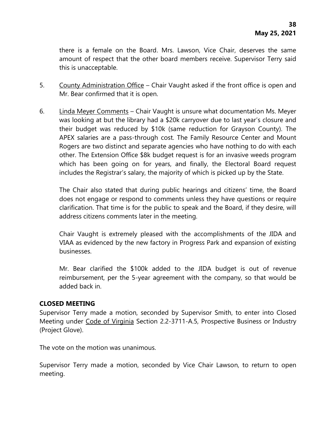there is a female on the Board. Mrs. Lawson, Vice Chair, deserves the same amount of respect that the other board members receive. Supervisor Terry said this is unacceptable.

- 5. County Administration Office Chair Vaught asked if the front office is open and Mr. Bear confirmed that it is open.
- 6. Linda Meyer Comments Chair Vaught is unsure what documentation Ms. Meyer was looking at but the library had a \$20k carryover due to last year's closure and their budget was reduced by \$10k (same reduction for Grayson County). The APEX salaries are a pass-through cost. The Family Resource Center and Mount Rogers are two distinct and separate agencies who have nothing to do with each other. The Extension Office \$8k budget request is for an invasive weeds program which has been going on for years, and finally, the Electoral Board request includes the Registrar's salary, the majority of which is picked up by the State.

The Chair also stated that during public hearings and citizens' time, the Board does not engage or respond to comments unless they have questions or require clarification. That time is for the public to speak and the Board, if they desire, will address citizens comments later in the meeting.

Chair Vaught is extremely pleased with the accomplishments of the JIDA and VIAA as evidenced by the new factory in Progress Park and expansion of existing businesses.

Mr. Bear clarified the \$100k added to the JIDA budget is out of revenue reimbursement, per the 5-year agreement with the company, so that would be added back in.

### **CLOSED MEETING**

Supervisor Terry made a motion, seconded by Supervisor Smith, to enter into Closed Meeting under Code of Virginia Section 2.2-3711-A.5, Prospective Business or Industry (Project Glove).

The vote on the motion was unanimous.

Supervisor Terry made a motion, seconded by Vice Chair Lawson, to return to open meeting.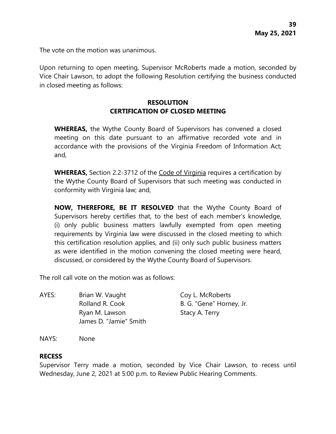The vote on the motion was unanimous.

Upon returning to open meeting, Supervisor McRoberts made a motion, seconded by Vice Chair Lawson, to adopt the following Resolution certifying the business conducted in closed meeting as follows:

# **RESOLUTION CERTIFICATION OF CLOSED MEETING**

**WHEREAS,** the Wythe County Board of Supervisors has convened a closed meeting on this date pursuant to an affirmative recorded vote and in accordance with the provisions of the Virginia Freedom of Information Act; and,

**WHEREAS,** Section 2.2-3712 of the Code of Virginia requires a certification by the Wythe County Board of Supervisors that such meeting was conducted in conformity with Virginia law; and,

**NOW, THEREFORE, BE IT RESOLVED** that the Wythe County Board of Supervisors hereby certifies that, to the best of each member's knowledge, (i) only public business matters lawfully exempted from open meeting requirements by Virginia law were discussed in the closed meeting to which this certification resolution applies, and (ii) only such public business matters as were identified in the motion convening the closed meeting were heard, discussed, or considered by the Wythe County Board of Supervisors.

The roll call vote on the motion was as follows:

AYES: Brian W. Vaught Coy L. McRoberts Rolland R. Cook B. G. "Gene" Horney, Jr. Ryan M. Lawson Stacy A. Terry James D. "Jamie" Smith

NAYS: None

#### **RECESS**

Supervisor Terry made a motion, seconded by Vice Chair Lawson, to recess until Wednesday, June 2, 2021 at 5:00 p.m. to Review Public Hearing Comments.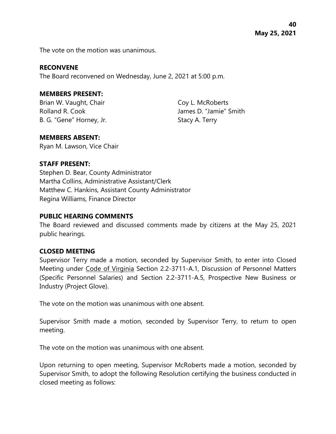**40 May 25, 2021**

The vote on the motion was unanimous.

#### **RECONVENE**

The Board reconvened on Wednesday, June 2, 2021 at 5:00 p.m.

#### **MEMBERS PRESENT:**

Brian W. Vaught, Chair Coy L. McRoberts B. G. "Gene" Horney, Jr. Stacy A. Terry

Rolland R. Cook James D. "Jamie" Smith

#### **MEMBERS ABSENT:**

Ryan M. Lawson, Vice Chair

#### **STAFF PRESENT:**

Stephen D. Bear, County Administrator Martha Collins, Administrative Assistant/Clerk Matthew C. Hankins, Assistant County Administrator Regina Williams, Finance Director

#### **PUBLIC HEARING COMMENTS**

The Board reviewed and discussed comments made by citizens at the May 25, 2021 public hearings.

#### **CLOSED MEETING**

Supervisor Terry made a motion, seconded by Supervisor Smith, to enter into Closed Meeting under Code of Virginia Section 2.2-3711-A.1, Discussion of Personnel Matters (Specific Personnel Salaries) and Section 2.2-3711-A.5, Prospective New Business or Industry (Project Glove).

The vote on the motion was unanimous with one absent.

Supervisor Smith made a motion, seconded by Supervisor Terry, to return to open meeting.

The vote on the motion was unanimous with one absent.

Upon returning to open meeting, Supervisor McRoberts made a motion, seconded by Supervisor Smith, to adopt the following Resolution certifying the business conducted in closed meeting as follows: